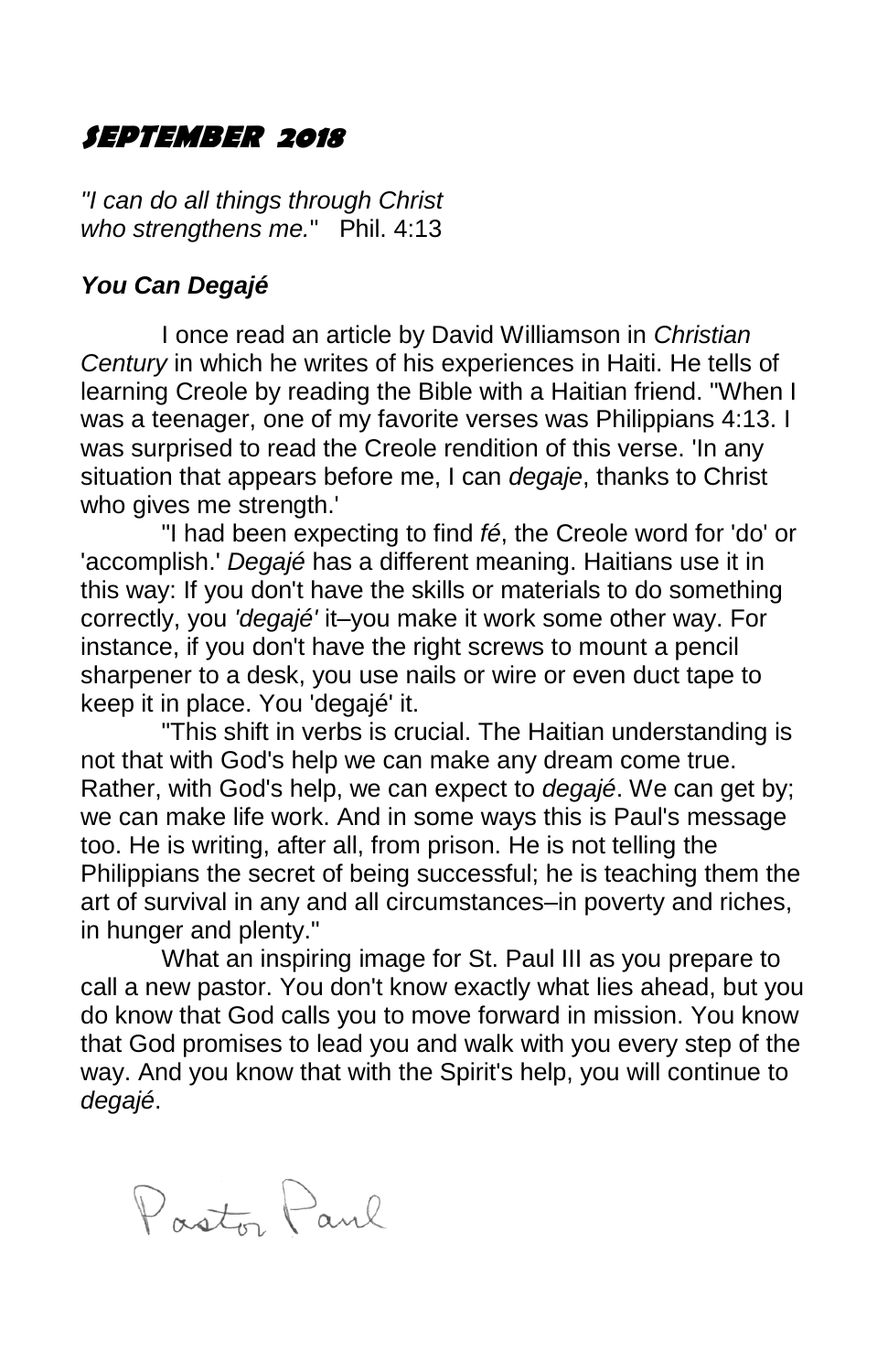#### **SEPTEMBER 2018**

*"I can do all things through Christ who strengthens me.*" Phil. 4:13

#### *You Can Degajé*

I once read an article by David Williamson in *Christian Century* in which he writes of his experiences in Haiti. He tells of learning Creole by reading the Bible with a Haitian friend. "When I was a teenager, one of my favorite verses was Philippians 4:13. I was surprised to read the Creole rendition of this verse. 'In any situation that appears before me, I can *degaje*, thanks to Christ who gives me strength.'

"I had been expecting to find *fé*, the Creole word for 'do' or 'accomplish.' *Degajé* has a different meaning. Haitians use it in this way: If you don't have the skills or materials to do something correctly, you *'degajé'* it–you make it work some other way. For instance, if you don't have the right screws to mount a pencil sharpener to a desk, you use nails or wire or even duct tape to keep it in place. You 'degajé' it.

"This shift in verbs is crucial. The Haitian understanding is not that with God's help we can make any dream come true. Rather, with God's help, we can expect to *degajé*. We can get by; we can make life work. And in some ways this is Paul's message too. He is writing, after all, from prison. He is not telling the Philippians the secret of being successful; he is teaching them the art of survival in any and all circumstances–in poverty and riches, in hunger and plenty."

What an inspiring image for St. Paul III as you prepare to call a new pastor. You don't know exactly what lies ahead, but you do know that God calls you to move forward in mission. You know that God promises to lead you and walk with you every step of the way. And you know that with the Spirit's help, you will continue to *degajé*.

Pasto Paul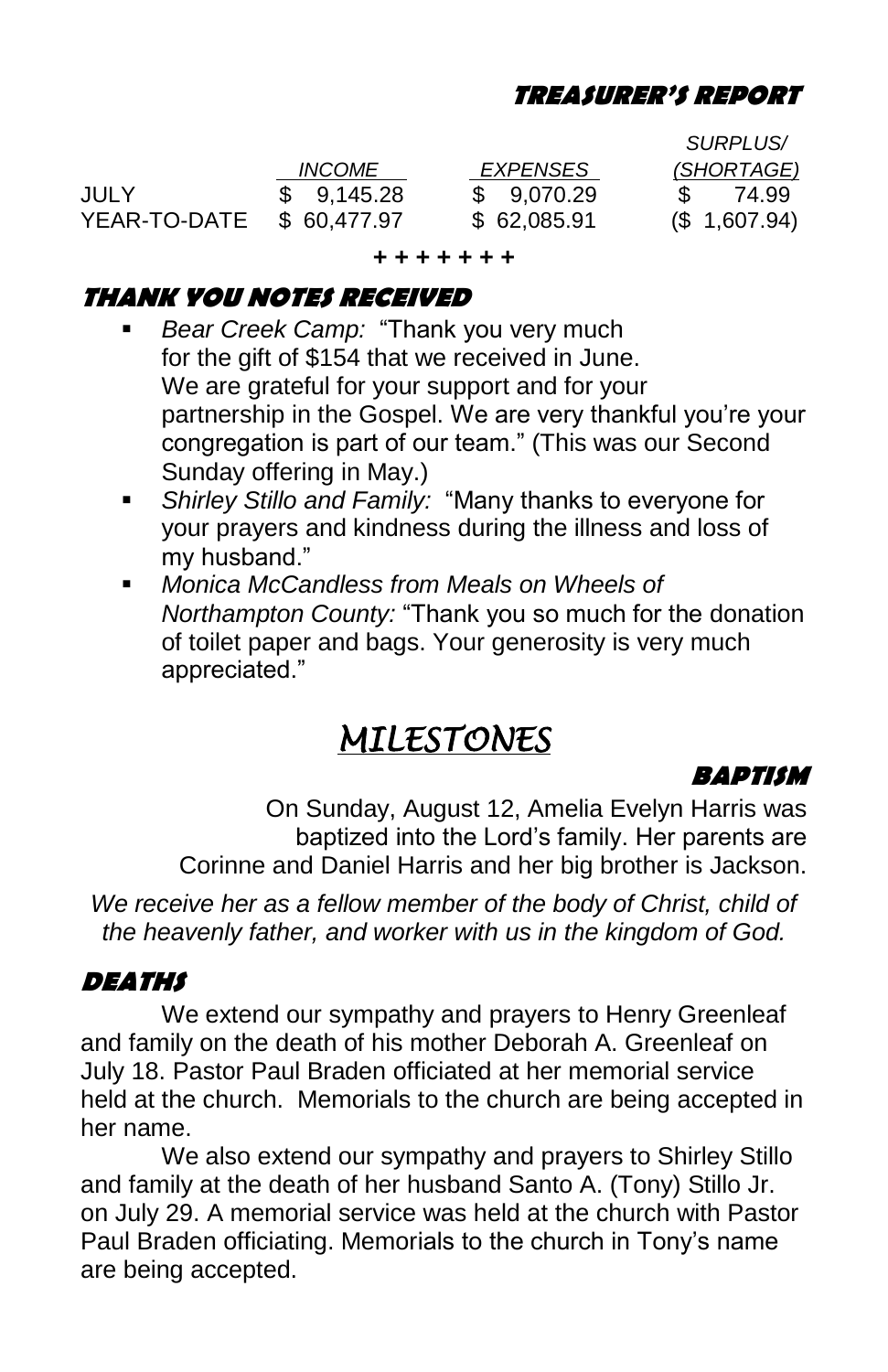#### **TREASURER'S REPORT**

|              |               |                 | <i>SURPLUS</i> / |
|--------------|---------------|-----------------|------------------|
|              | <i>INCOME</i> | <i>EXPENSES</i> | (SHORTAGE)       |
| JULY         | \$9.145.28    | \$9,070.29      | 74.99            |
| YEAR-TO-DATE | \$60,477.97   | \$62,085.91     | (\$1,607.94)     |

**+ + + + + + +**

#### **THANK YOU NOTES RECEIVED**

- *Bear Creek Camp:* "Thank you very much for the gift of \$154 that we received in June. We are grateful for your support and for your partnership in the Gospel. We are very thankful you're your congregation is part of our team." (This was our Second Sunday offering in May.)
- *Shirley Stillo and Family:* "Many thanks to everyone for your prayers and kindness during the illness and loss of my husband."
- *Monica McCandless from Meals on Wheels of Northampton County:* "Thank you so much for the donation of toilet paper and bags. Your generosity is very much appreciated."

# *MILESTONES*

#### **BAPTISM**

On Sunday, August 12, Amelia Evelyn Harris was baptized into the Lord's family. Her parents are Corinne and Daniel Harris and her big brother is Jackson.

*We receive her as a fellow member of the body of Christ, child of the heavenly father, and worker with us in the kingdom of God.*

#### **DEATHS**

We extend our sympathy and prayers to Henry Greenleaf and family on the death of his mother Deborah A. Greenleaf on July 18. Pastor Paul Braden officiated at her memorial service held at the church. Memorials to the church are being accepted in her name.

We also extend our sympathy and prayers to Shirley Stillo and family at the death of her husband Santo A. (Tony) Stillo Jr. on July 29. A memorial service was held at the church with Pastor Paul Braden officiating. Memorials to the church in Tony's name are being accepted.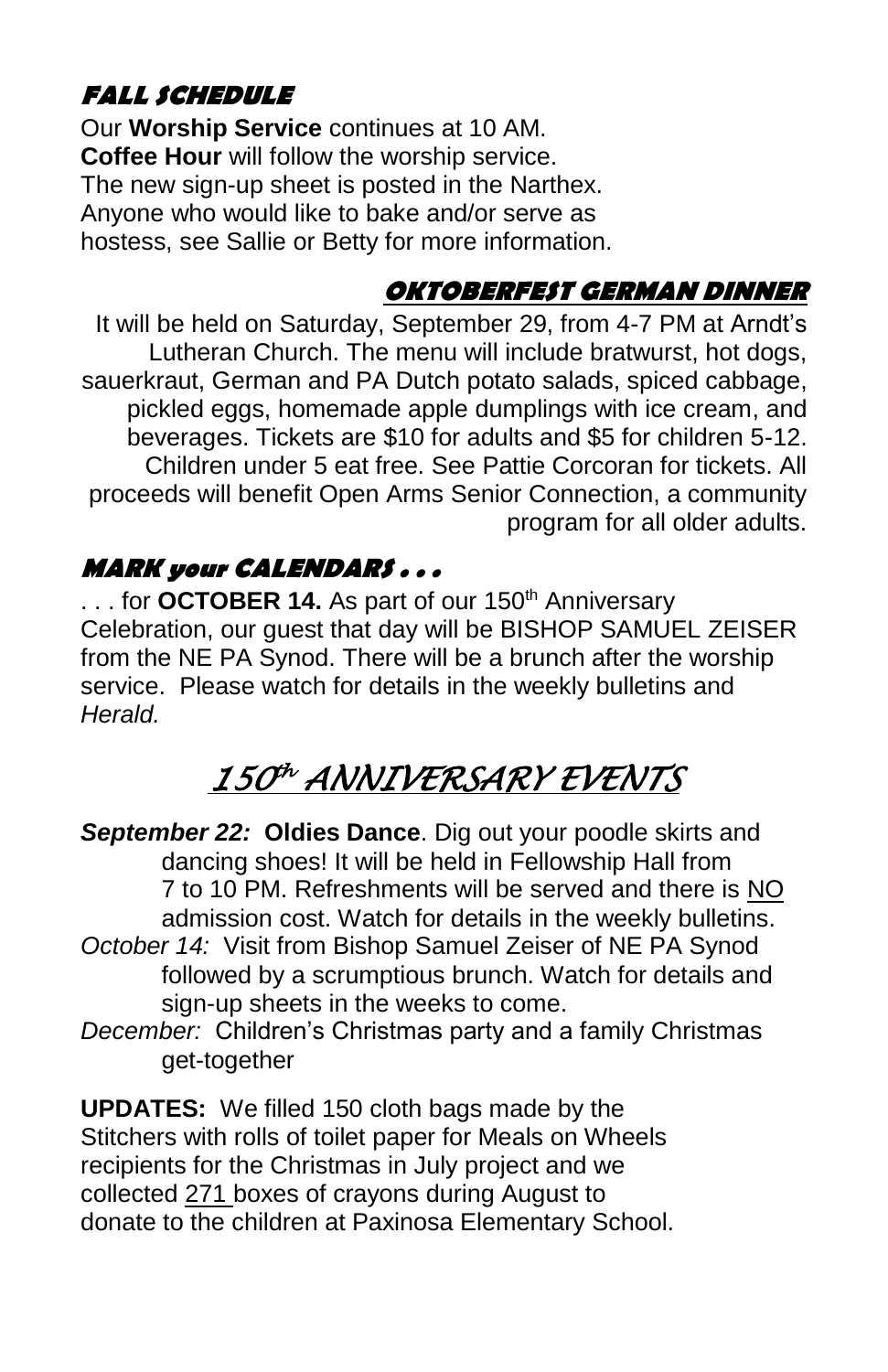# **FALL SCHEDULE**

Our **Worship Service** continues at 10 AM. **Coffee Hour** will follow the worship service. The new sign-up sheet is posted in the Narthex. Anyone who would like to bake and/or serve as hostess, see Sallie or Betty for more information.

## **OKTOBERFEST GERMAN DINNER**

It will be held on Saturday, September 29, from 4-7 PM at Arndt's Lutheran Church. The menu will include bratwurst, hot dogs, sauerkraut, German and PA Dutch potato salads, spiced cabbage, pickled eggs, homemade apple dumplings with ice cream, and beverages. Tickets are \$10 for adults and \$5 for children 5-12. Children under 5 eat free. See Pattie Corcoran for tickets. All proceeds will benefit Open Arms Senior Connection, a community program for all older adults.

## **MARK your CALENDARS . . .**

... for **OCTOBER 14.** As part of our 150<sup>th</sup> Anniversary Celebration, our guest that day will be BISHOP SAMUEL ZEISER from the NE PA Synod. There will be a brunch after the worship service. Please watch for details in the weekly bulletins and *Herald.*

# *150 th ANNIVERSARY EVENTS*

- *September 22:* **Oldies Dance**. Dig out your poodle skirts and dancing shoes! It will be held in Fellowship Hall from 7 to 10 PM. Refreshments will be served and there is NO admission cost. Watch for details in the weekly bulletins.
- *October 14:* Visit from Bishop Samuel Zeiser of NE PA Synod followed by a scrumptious brunch. Watch for details and sign-up sheets in the weeks to come.
- *December:* Children's Christmas party and a family Christmas get-together

**UPDATES:** We filled 150 cloth bags made by the Stitchers with rolls of toilet paper for Meals on Wheels recipients for the Christmas in July project and we collected 271 boxes of crayons during August to donate to the children at Paxinosa Elementary School.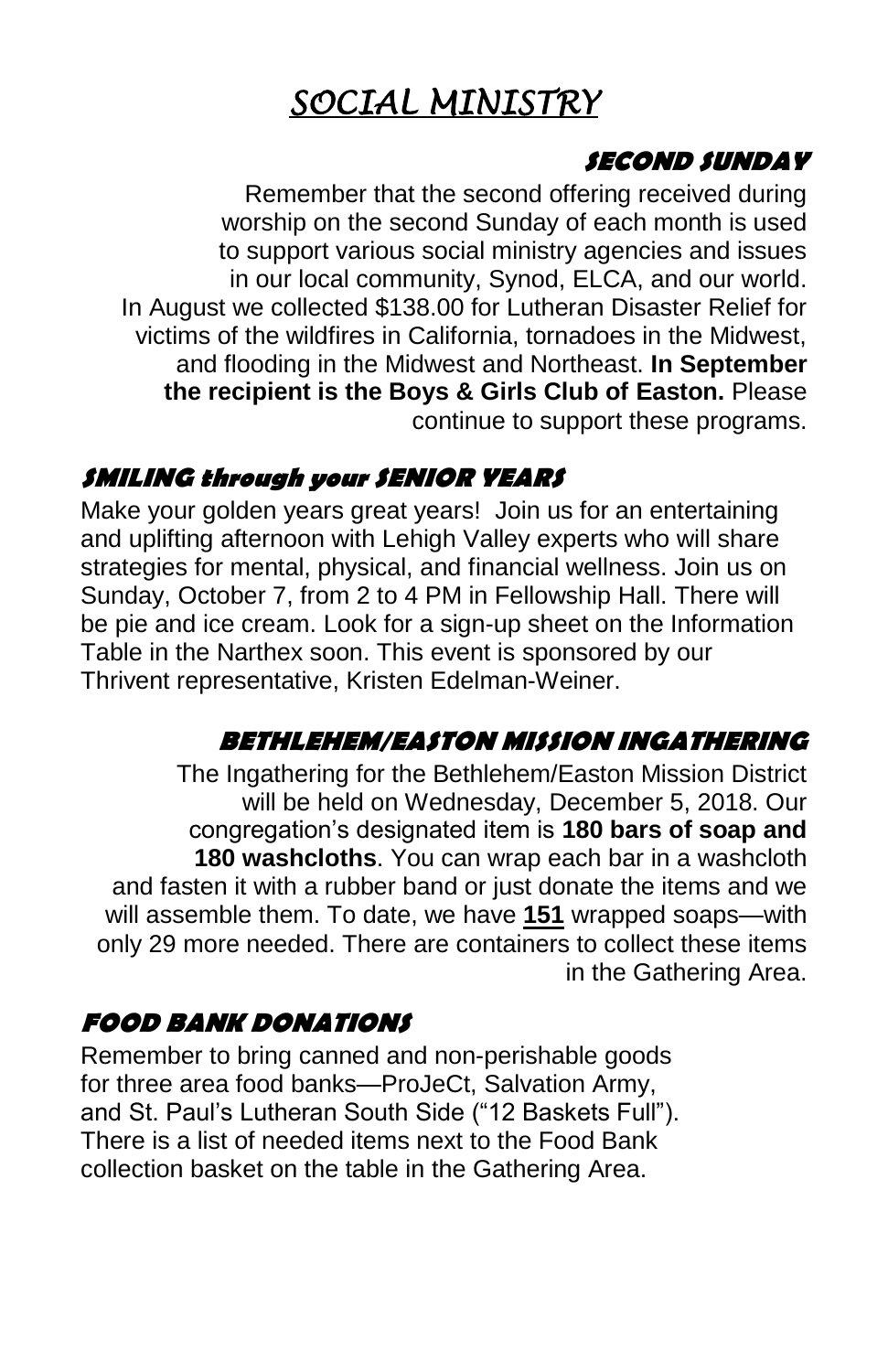# *SOCIAL MINISTRY*

#### **SECOND SUNDAY**

Remember that the second offering received during worship on the second Sunday of each month is used to support various social ministry agencies and issues in our local community, Synod, ELCA, and our world. In August we collected \$138.00 for Lutheran Disaster Relief for victims of the wildfires in California, tornadoes in the Midwest, and flooding in the Midwest and Northeast. **In September the recipient is the Boys & Girls Club of Easton.** Please continue to support these programs.

### **SMILING through your SENIOR YEARS**

Make your golden years great years! Join us for an entertaining and uplifting afternoon with Lehigh Valley experts who will share strategies for mental, physical, and financial wellness. Join us on Sunday, October 7, from 2 to 4 PM in Fellowship Hall. There will be pie and ice cream. Look for a sign-up sheet on the Information Table in the Narthex soon. This event is sponsored by our Thrivent representative, Kristen Edelman-Weiner.

### **BETHLEHEM/EASTON MISSION INGATHERING**

The Ingathering for the Bethlehem/Easton Mission District will be held on Wednesday, December 5, 2018. Our congregation's designated item is **180 bars of soap and 180 washcloths**. You can wrap each bar in a washcloth and fasten it with a rubber band or just donate the items and we will assemble them. To date, we have **151** wrapped soaps—with only 29 more needed. There are containers to collect these items in the Gathering Area.

### **FOOD BANK DONATIONS**

Remember to bring canned and non-perishable goods for three area food banks—ProJeCt, Salvation Army, and St. Paul's Lutheran South Side ("12 Baskets Full"). There is a list of needed items next to the Food Bank collection basket on the table in the Gathering Area.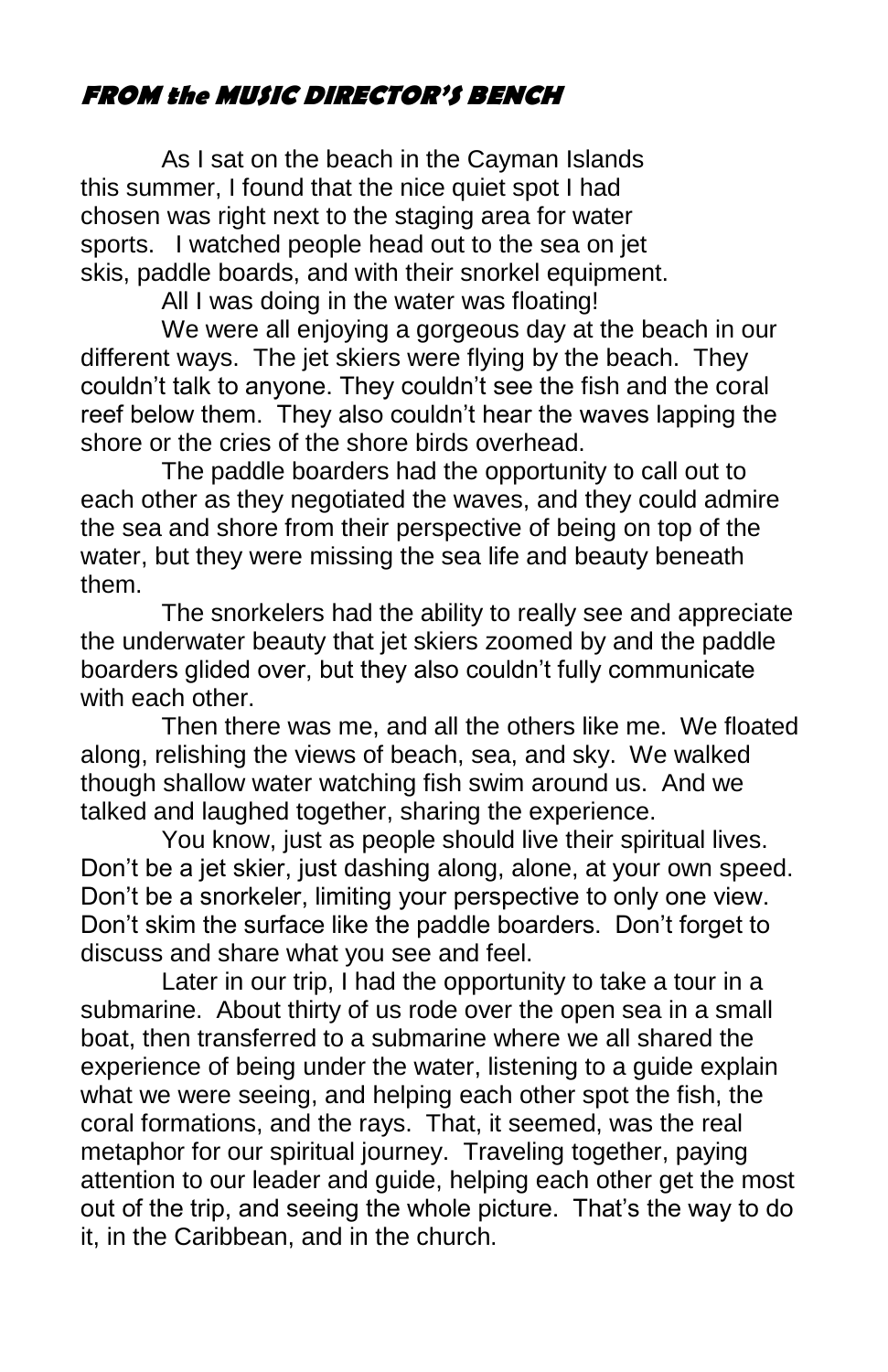## **FROM the MUSIC DIRECTOR'S BENCH**

As I sat on the beach in the Cayman Islands this summer, I found that the nice quiet spot I had chosen was right next to the staging area for water sports. I watched people head out to the sea on jet skis, paddle boards, and with their snorkel equipment.

All I was doing in the water was floating!

We were all enjoying a gorgeous day at the beach in our different ways. The jet skiers were flying by the beach. They couldn't talk to anyone. They couldn't see the fish and the coral reef below them. They also couldn't hear the waves lapping the shore or the cries of the shore birds overhead.

The paddle boarders had the opportunity to call out to each other as they negotiated the waves, and they could admire the sea and shore from their perspective of being on top of the water, but they were missing the sea life and beauty beneath them.

The snorkelers had the ability to really see and appreciate the underwater beauty that jet skiers zoomed by and the paddle boarders glided over, but they also couldn't fully communicate with each other.

Then there was me, and all the others like me. We floated along, relishing the views of beach, sea, and sky. We walked though shallow water watching fish swim around us. And we talked and laughed together, sharing the experience.

You know, just as people should live their spiritual lives. Don't be a jet skier, just dashing along, alone, at your own speed. Don't be a snorkeler, limiting your perspective to only one view. Don't skim the surface like the paddle boarders. Don't forget to discuss and share what you see and feel.

Later in our trip, I had the opportunity to take a tour in a submarine. About thirty of us rode over the open sea in a small boat, then transferred to a submarine where we all shared the experience of being under the water, listening to a guide explain what we were seeing, and helping each other spot the fish, the coral formations, and the rays. That, it seemed, was the real metaphor for our spiritual journey. Traveling together, paying attention to our leader and guide, helping each other get the most out of the trip, and seeing the whole picture. That's the way to do it, in the Caribbean, and in the church.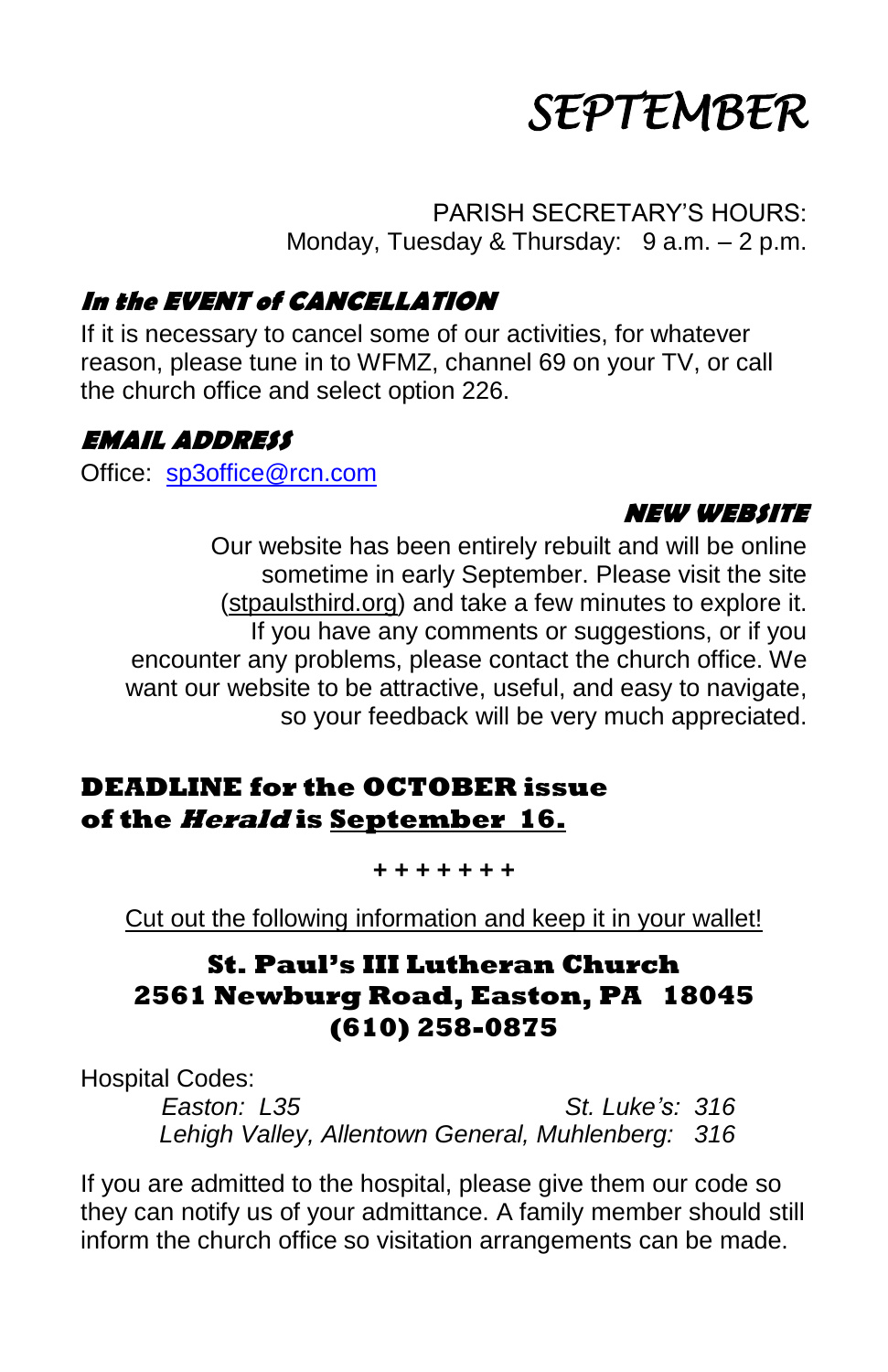

PARISH SECRETARY'S HOURS: Monday, Tuesday & Thursday: 9 a.m. - 2 p.m.

#### **In the EVENT of CANCELLATION**

If it is necessary to cancel some of our activities, for whatever reason, please tune in to WFMZ, channel 69 on your TV, or call the church office and select option 226.

#### **EMAIL ADDRESS**

Office: [sp3office@rcn.com](mailto:sp3office@rcn.com) 

#### **NEW WEBSITE**

Our website has been entirely rebuilt and will be online sometime in early September. Please visit the site (stpaulsthird.org) and take a few minutes to explore it. If you have any comments or suggestions, or if you encounter any problems, please contact the church office. We want our website to be attractive, useful, and easy to navigate, so your feedback will be very much appreciated.

#### **DEADLINE for the OCTOBER issue of the Herald is September 16.**

**+ + + + + + +** 

Cut out the following information and keep it in your wallet!

#### **St. Paul's III Lutheran Church 2561 Newburg Road, Easton, PA 18045 (610) 258-0875**

Hospital Codes:

*Easton: L35 St. Luke's: 316 Lehigh Valley, Allentown General, Muhlenberg: 316*

If you are admitted to the hospital, please give them our code so they can notify us of your admittance. A family member should still inform the church office so visitation arrangements can be made.